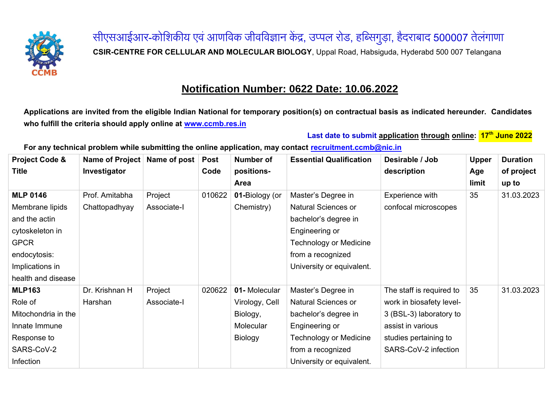

सीएसआईआर-कोशिकीय एवं आणविक जीवविज्ञान केंद्र, उप्पल रोड, हब्सिगुड़ा, हैदराबाद <mark>500007</mark> तेलंगाणा **CSIR-CENTRE FOR CELLULAR AND MOLECULAR BIOLOGY**, Uppal Road, Habsiguda, Hyderabd 500 007 Telangana

## **Notification Number: 0622 Date: 10.06.2022**

**Applications are invited from the eligible Indian National for temporary position(s) on contractual basis as indicated hereunder. Candidates who fulfill the criteria should apply online at [www.ccmb.res.in](http://www.ccmb.res.in/)**

**Last date to submit application through online: 17th June 2022**

**For any technical problem while submitting the online application, may contact [recruitment.ccmb@nic.in](mailto:recruitment.ccmb@nic.in)**

| <b>Project Code &amp;</b> | Name of Project | Name of post | <b>Post</b> | Number of      | <b>Essential Qualification</b> | Desirable / Job          | <b>Upper</b> | <b>Duration</b> |
|---------------------------|-----------------|--------------|-------------|----------------|--------------------------------|--------------------------|--------------|-----------------|
| Title                     | Investigator    |              | Code        | positions-     |                                | description              | Age          | of project      |
|                           |                 |              |             | Area           |                                |                          | limit        | up to           |
| <b>MLP 0146</b>           | Prof. Amitabha  | Project      | 010622      | 01-Biology (or | Master's Degree in             | Experience with          | 35           | 31.03.2023      |
| Membrane lipids           | Chattopadhyay   | Associate-I  |             | Chemistry)     | <b>Natural Sciences or</b>     | confocal microscopes     |              |                 |
| and the actin             |                 |              |             |                | bachelor's degree in           |                          |              |                 |
| cytoskeleton in           |                 |              |             |                | Engineering or                 |                          |              |                 |
| <b>GPCR</b>               |                 |              |             |                | <b>Technology or Medicine</b>  |                          |              |                 |
| endocytosis:              |                 |              |             |                | from a recognized              |                          |              |                 |
| Implications in           |                 |              |             |                | University or equivalent.      |                          |              |                 |
| health and disease        |                 |              |             |                |                                |                          |              |                 |
| <b>MLP163</b>             | Dr. Krishnan H  | Project      | 020622      | 01-Molecular   | Master's Degree in             | The staff is required to | 35           | 31.03.2023      |
| Role of                   | Harshan         | Associate-I  |             | Virology, Cell | <b>Natural Sciences or</b>     | work in biosafety level- |              |                 |
| Mitochondria in the       |                 |              |             | Biology,       | bachelor's degree in           | 3 (BSL-3) laboratory to  |              |                 |
| Innate Immune             |                 |              |             | Molecular      | Engineering or                 | assist in various        |              |                 |
| Response to               |                 |              |             | <b>Biology</b> | <b>Technology or Medicine</b>  | studies pertaining to    |              |                 |
| SARS-CoV-2                |                 |              |             |                | from a recognized              | SARS-CoV-2 infection     |              |                 |
| Infection                 |                 |              |             |                | University or equivalent.      |                          |              |                 |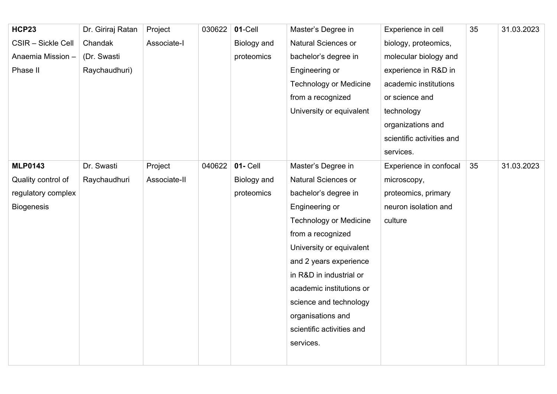| <b>HCP23</b>       | Dr. Giriraj Ratan | Project      | 030622 | 01-Cell         | Master's Degree in            | Experience in cell        | 35 | 31.03.2023 |
|--------------------|-------------------|--------------|--------|-----------------|-------------------------------|---------------------------|----|------------|
| CSIR - Sickle Cell | Chandak           | Associate-I  |        | Biology and     | Natural Sciences or           | biology, proteomics,      |    |            |
| Anaemia Mission -  | (Dr. Swasti       |              |        | proteomics      | bachelor's degree in          | molecular biology and     |    |            |
| Phase II           | Raychaudhuri)     |              |        |                 | Engineering or                | experience in R&D in      |    |            |
|                    |                   |              |        |                 | <b>Technology or Medicine</b> | academic institutions     |    |            |
|                    |                   |              |        |                 | from a recognized             | or science and            |    |            |
|                    |                   |              |        |                 | University or equivalent      | technology                |    |            |
|                    |                   |              |        |                 |                               | organizations and         |    |            |
|                    |                   |              |        |                 |                               | scientific activities and |    |            |
|                    |                   |              |        |                 |                               | services.                 |    |            |
| <b>MLP0143</b>     | Dr. Swasti        | Project      | 040622 | <b>01- Cell</b> | Master's Degree in            | Experience in confocal    | 35 | 31.03.2023 |
| Quality control of | Raychaudhuri      | Associate-II |        | Biology and     | Natural Sciences or           | microscopy,               |    |            |
| regulatory complex |                   |              |        | proteomics      | bachelor's degree in          | proteomics, primary       |    |            |
| <b>Biogenesis</b>  |                   |              |        |                 | Engineering or                | neuron isolation and      |    |            |
|                    |                   |              |        |                 | <b>Technology or Medicine</b> | culture                   |    |            |
|                    |                   |              |        |                 | from a recognized             |                           |    |            |
|                    |                   |              |        |                 | University or equivalent      |                           |    |            |
|                    |                   |              |        |                 | and 2 years experience        |                           |    |            |
|                    |                   |              |        |                 | in R&D in industrial or       |                           |    |            |
|                    |                   |              |        |                 | academic institutions or      |                           |    |            |
|                    |                   |              |        |                 | science and technology        |                           |    |            |
|                    |                   |              |        |                 | organisations and             |                           |    |            |
|                    |                   |              |        |                 | scientific activities and     |                           |    |            |
|                    |                   |              |        |                 | services.                     |                           |    |            |
|                    |                   |              |        |                 |                               |                           |    |            |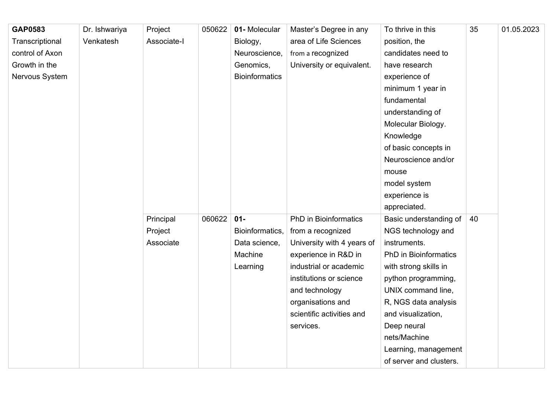| GAP0583         | Dr. Ishwariya | Project     | 050622 | 01-Molecular          | Master's Degree in any       | To thrive in this            | 35 | 01.05.2023 |
|-----------------|---------------|-------------|--------|-----------------------|------------------------------|------------------------------|----|------------|
| Transcriptional | Venkatesh     | Associate-I |        | Biology,              | area of Life Sciences        | position, the                |    |            |
| control of Axon |               |             |        | Neuroscience,         | from a recognized            | candidates need to           |    |            |
| Growth in the   |               |             |        | Genomics,             | University or equivalent.    | have research                |    |            |
| Nervous System  |               |             |        | <b>Bioinformatics</b> |                              | experience of                |    |            |
|                 |               |             |        |                       |                              | minimum 1 year in            |    |            |
|                 |               |             |        |                       |                              | fundamental                  |    |            |
|                 |               |             |        |                       |                              | understanding of             |    |            |
|                 |               |             |        |                       |                              | Molecular Biology.           |    |            |
|                 |               |             |        |                       |                              | Knowledge                    |    |            |
|                 |               |             |        |                       |                              | of basic concepts in         |    |            |
|                 |               |             |        |                       |                              | Neuroscience and/or          |    |            |
|                 |               |             |        |                       |                              | mouse                        |    |            |
|                 |               |             |        |                       |                              | model system                 |    |            |
|                 |               |             |        |                       |                              | experience is                |    |            |
|                 |               |             |        |                       |                              | appreciated.                 |    |            |
|                 |               | Principal   | 060622 | $01 -$                | <b>PhD</b> in Bioinformatics | Basic understanding of       | 40 |            |
|                 |               | Project     |        | Bioinformatics,       | from a recognized            | NGS technology and           |    |            |
|                 |               | Associate   |        | Data science,         | University with 4 years of   | instruments.                 |    |            |
|                 |               |             |        | Machine               | experience in R&D in         | <b>PhD in Bioinformatics</b> |    |            |
|                 |               |             |        | Learning              | industrial or academic       | with strong skills in        |    |            |
|                 |               |             |        |                       | institutions or science      | python programming,          |    |            |
|                 |               |             |        |                       | and technology               | UNIX command line,           |    |            |
|                 |               |             |        |                       | organisations and            | R, NGS data analysis         |    |            |
|                 |               |             |        |                       | scientific activities and    | and visualization,           |    |            |
|                 |               |             |        |                       | services.                    | Deep neural                  |    |            |
|                 |               |             |        |                       |                              | nets/Machine                 |    |            |
|                 |               |             |        |                       |                              | Learning, management         |    |            |
|                 |               |             |        |                       |                              | of server and clusters.      |    |            |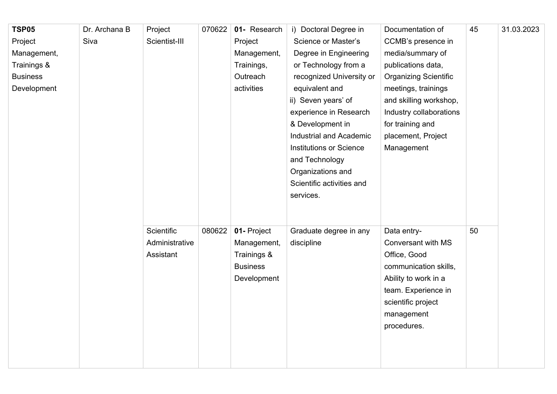| <b>TSP05</b>    | Dr. Archana B | Project           | 070622 | 01- Research    | i) Doctoral Degree in          | Documentation of             | 45 | 31.03.2023 |
|-----------------|---------------|-------------------|--------|-----------------|--------------------------------|------------------------------|----|------------|
| Project         | Siva          | Scientist-III     |        | Project         | Science or Master's            | CCMB's presence in           |    |            |
| Management,     |               |                   |        | Management,     | Degree in Engineering          | media/summary of             |    |            |
| Trainings &     |               |                   |        | Trainings,      | or Technology from a           | publications data,           |    |            |
| <b>Business</b> |               |                   |        | Outreach        | recognized University or       | <b>Organizing Scientific</b> |    |            |
| Development     |               |                   |        | activities      | equivalent and                 | meetings, trainings          |    |            |
|                 |               |                   |        |                 | ii) Seven years' of            | and skilling workshop,       |    |            |
|                 |               |                   |        |                 | experience in Research         | Industry collaborations      |    |            |
|                 |               |                   |        |                 | & Development in               | for training and             |    |            |
|                 |               |                   |        |                 | Industrial and Academic        | placement, Project           |    |            |
|                 |               |                   |        |                 | <b>Institutions or Science</b> | Management                   |    |            |
|                 |               |                   |        |                 | and Technology                 |                              |    |            |
|                 |               |                   |        |                 | Organizations and              |                              |    |            |
|                 |               |                   |        |                 | Scientific activities and      |                              |    |            |
|                 |               |                   |        |                 | services.                      |                              |    |            |
|                 |               |                   |        |                 |                                |                              |    |            |
|                 |               |                   |        |                 |                                |                              |    |            |
|                 |               | <b>Scientific</b> | 080622 | 01- Project     | Graduate degree in any         | Data entry-                  | 50 |            |
|                 |               | Administrative    |        | Management,     | discipline                     | Conversant with MS           |    |            |
|                 |               | Assistant         |        | Trainings &     |                                | Office, Good                 |    |            |
|                 |               |                   |        | <b>Business</b> |                                | communication skills,        |    |            |
|                 |               |                   |        | Development     |                                | Ability to work in a         |    |            |
|                 |               |                   |        |                 |                                | team. Experience in          |    |            |
|                 |               |                   |        |                 |                                | scientific project           |    |            |
|                 |               |                   |        |                 |                                | management                   |    |            |
|                 |               |                   |        |                 |                                | procedures.                  |    |            |
|                 |               |                   |        |                 |                                |                              |    |            |
|                 |               |                   |        |                 |                                |                              |    |            |
|                 |               |                   |        |                 |                                |                              |    |            |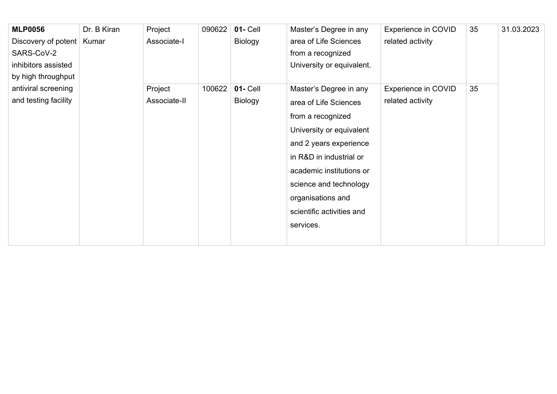| <b>MLP0056</b>              | Dr. B Kiran | Project      | 090622 | $01 -$ Cell    | Master's Degree in any    | Experience in COVID | 35 | 31.03.2023 |
|-----------------------------|-------------|--------------|--------|----------------|---------------------------|---------------------|----|------------|
| Discovery of potent   Kumar |             | Associate-I  |        | Biology        | area of Life Sciences     | related activity    |    |            |
| SARS-CoV-2                  |             |              |        |                | from a recognized         |                     |    |            |
| inhibitors assisted         |             |              |        |                | University or equivalent. |                     |    |            |
| by high throughput          |             |              |        |                |                           |                     |    |            |
| antiviral screening         |             | Project      | 100622 | $01 -$ Cell    | Master's Degree in any    | Experience in COVID | 35 |            |
| and testing facility        |             | Associate-II |        | <b>Biology</b> | area of Life Sciences     | related activity    |    |            |
|                             |             |              |        |                | from a recognized         |                     |    |            |
|                             |             |              |        |                | University or equivalent  |                     |    |            |
|                             |             |              |        |                | and 2 years experience    |                     |    |            |
|                             |             |              |        |                | in R&D in industrial or   |                     |    |            |
|                             |             |              |        |                | academic institutions or  |                     |    |            |
|                             |             |              |        |                | science and technology    |                     |    |            |
|                             |             |              |        |                | organisations and         |                     |    |            |
|                             |             |              |        |                | scientific activities and |                     |    |            |
|                             |             |              |        |                | services.                 |                     |    |            |
|                             |             |              |        |                |                           |                     |    |            |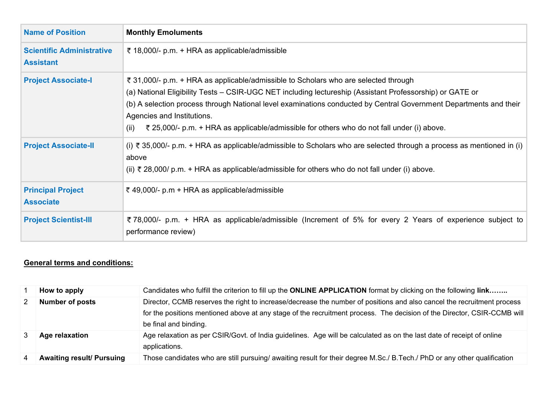| <b>Name of Position</b>                              | <b>Monthly Emoluments</b>                                                                                                                                                                                                                                                                                                                                                                                                                                |
|------------------------------------------------------|----------------------------------------------------------------------------------------------------------------------------------------------------------------------------------------------------------------------------------------------------------------------------------------------------------------------------------------------------------------------------------------------------------------------------------------------------------|
| <b>Scientific Administrative</b><br><b>Assistant</b> | ₹ 18,000/- p.m. + HRA as applicable/admissible                                                                                                                                                                                                                                                                                                                                                                                                           |
| <b>Project Associate-I</b>                           | ₹ 31,000/- p.m. + HRA as applicable/admissible to Scholars who are selected through<br>(a) National Eligibility Tests – CSIR-UGC NET including lectureship (Assistant Professorship) or GATE or<br>(b) A selection process through National level examinations conducted by Central Government Departments and their<br>Agencies and Institutions.<br>₹ 25,000/- p.m. + HRA as applicable/admissible for others who do not fall under (i) above.<br>(ii) |
| <b>Project Associate-II</b>                          | (i) ₹ 35,000/- p.m. + HRA as applicable/admissible to Scholars who are selected through a process as mentioned in (i)<br>above<br>(ii) ₹ 28,000/ p.m. + HRA as applicable/admissible for others who do not fall under (i) above.                                                                                                                                                                                                                         |
| <b>Principal Project</b><br><b>Associate</b>         | ₹ 49,000/- p.m + HRA as applicable/admissible                                                                                                                                                                                                                                                                                                                                                                                                            |
| <b>Project Scientist-III</b>                         | ₹78,000/- p.m. + HRA as applicable/admissible (Increment of 5% for every 2 Years of experience subject to<br>performance review)                                                                                                                                                                                                                                                                                                                         |

## **General terms and conditions:**

|   | How to apply                     | Candidates who fulfill the criterion to fill up the ONLINE APPLICATION format by clicking on the following link                                                                                                                                                            |
|---|----------------------------------|----------------------------------------------------------------------------------------------------------------------------------------------------------------------------------------------------------------------------------------------------------------------------|
|   | <b>Number of posts</b>           | Director, CCMB reserves the right to increase/decrease the number of positions and also cancel the recruitment process<br>for the positions mentioned above at any stage of the recruitment process. The decision of the Director, CSIR-CCMB will<br>be final and binding. |
|   | Age relaxation                   | Age relaxation as per CSIR/Govt. of India guidelines. Age will be calculated as on the last date of receipt of online<br>applications.                                                                                                                                     |
| 4 | <b>Awaiting result/ Pursuing</b> | Those candidates who are still pursuing/ awaiting result for their degree M.Sc./ B.Tech./ PhD or any other qualification                                                                                                                                                   |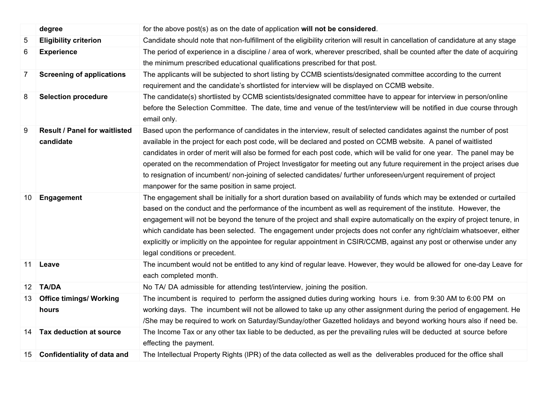|    | degree                               | for the above post(s) as on the date of application will not be considered.                                                                     |
|----|--------------------------------------|-------------------------------------------------------------------------------------------------------------------------------------------------|
| 5  | <b>Eligibility criterion</b>         | Candidate should note that non-fulfillment of the eligibility criterion will result in cancellation of candidature at any stage                 |
| 6  | <b>Experience</b>                    | The period of experience in a discipline / area of work, wherever prescribed, shall be counted after the date of acquiring                      |
|    |                                      | the minimum prescribed educational qualifications prescribed for that post.                                                                     |
| 7  | <b>Screening of applications</b>     | The applicants will be subjected to short listing by CCMB scientists/designated committee according to the current                              |
|    |                                      | requirement and the candidate's shortlisted for interview will be displayed on CCMB website.                                                    |
| 8  | <b>Selection procedure</b>           | The candidate(s) shortlisted by CCMB scientists/designated committee have to appear for interview in person/online                              |
|    |                                      | before the Selection Committee. The date, time and venue of the test/interview will be notified in due course through<br>email only.            |
| 9  | <b>Result / Panel for waitlisted</b> | Based upon the performance of candidates in the interview, result of selected candidates against the number of post                             |
|    | candidate                            | available in the project for each post code, will be declared and posted on CCMB website. A panel of waitlisted                                 |
|    |                                      | candidates in order of merit will also be formed for each post code, which will be valid for one year. The panel may be                         |
|    |                                      | operated on the recommendation of Project Investigator for meeting out any future requirement in the project arises due                         |
|    |                                      | to resignation of incumbent/ non-joining of selected candidates/ further unforeseen/urgent requirement of project                               |
|    |                                      | manpower for the same position in same project.                                                                                                 |
| 10 | Engagement                           | The engagement shall be initially for a short duration based on availability of funds which may be extended or curtailed                        |
|    |                                      | based on the conduct and the performance of the incumbent as well as requirement of the institute. However, the                                 |
|    |                                      | engagement will not be beyond the tenure of the project and shall expire automatically on the expiry of project tenure, in                      |
|    |                                      | which candidate has been selected. The engagement under projects does not confer any right/claim whatsoever, either                             |
|    |                                      | explicitly or implicitly on the appointee for regular appointment in CSIR/CCMB, against any post or otherwise under any                         |
|    |                                      | legal conditions or precedent.                                                                                                                  |
| 11 | Leave                                | The incumbent would not be entitled to any kind of regular leave. However, they would be allowed for one-day Leave for<br>each completed month. |
| 12 | <b>TA/DA</b>                         | No TA/DA admissible for attending test/interview, joining the position.                                                                         |
| 13 | <b>Office timings/ Working</b>       | The incumbent is required to perform the assigned duties during working hours i.e. from 9:30 AM to 6:00 PM on                                   |
|    | hours                                | working days. The incumbent will not be allowed to take up any other assignment during the period of engagement. He                             |
|    |                                      | /She may be required to work on Saturday/Sunday/other Gazetted holidays and beyond working hours also if need be.                               |
| 14 | Tax deduction at source              | The Income Tax or any other tax liable to be deducted, as per the prevailing rules will be deducted at source before                            |
|    |                                      | effecting the payment.                                                                                                                          |
|    | 15 Confidentiality of data and       | The Intellectual Property Rights (IPR) of the data collected as well as the deliverables produced for the office shall                          |